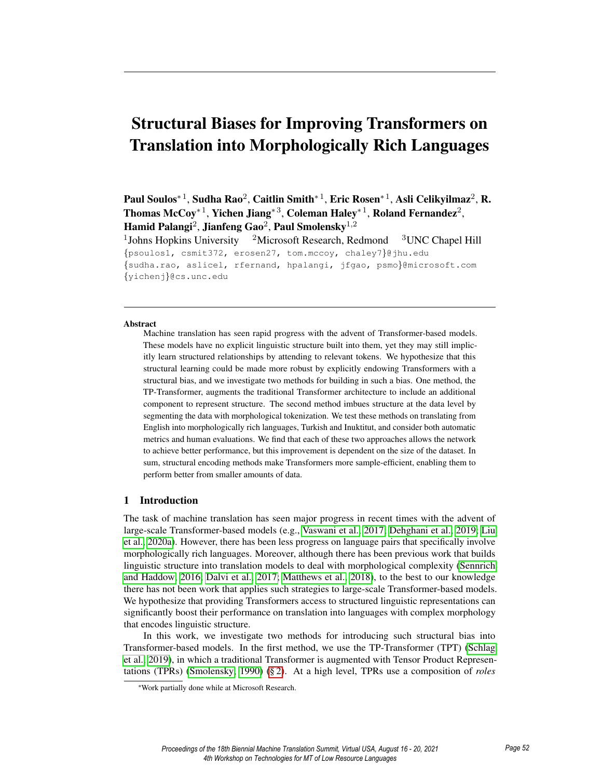# Structural Biases for Improving Transformers on Translation into Morphologically Rich Languages

Paul Soulos\* $^1$ , Sudha Rao $^2$ , Caitlin Smith\* $^1$ , Eric Rosen\* $^1$ , Asli Celikyilmaz $^2$ , R. Thomas McCoy\*<sup>1</sup>, Yichen Jiang\*<sup>3</sup>, Coleman Haley\*<sup>1</sup>, Roland Fernandez<sup>2</sup>, Hamid Palangi<sup>2</sup>, Jianfeng Gao<sup>2</sup>, Paul Smolensky<sup>1,2</sup>

<sup>1</sup>Johns Hopkins University  $2^2$ Microsoft Research, Redmond  $3^2$ UNC Chapel Hill {psoulos1, csmit372, erosen27, tom.mccoy, chaley7}@jhu.edu {sudha.rao, aslicel, rfernand, hpalangi, jfgao, psmo}@microsoft.com {yichenj}@cs.unc.edu

#### Abstract

Machine translation has seen rapid progress with the advent of Transformer-based models. These models have no explicit linguistic structure built into them, yet they may still implicitly learn structured relationships by attending to relevant tokens. We hypothesize that this structural learning could be made more robust by explicitly endowing Transformers with a structural bias, and we investigate two methods for building in such a bias. One method, the TP-Transformer, augments the traditional Transformer architecture to include an additional component to represent structure. The second method imbues structure at the data level by segmenting the data with morphological tokenization. We test these methods on translating from English into morphologically rich languages, Turkish and Inuktitut, and consider both automatic metrics and human evaluations. We find that each of these two approaches allows the network to achieve better performance, but this improvement is dependent on the size of the dataset. In sum, structural encoding methods make Transformers more sample-efficient, enabling them to perform better from smaller amounts of data.

#### 1 Introduction

The task of machine translation has seen major progress in recent times with the advent of large-scale Transformer-based models (e.g., Vaswani et al., 2017; Dehghani et al., 2019; Liu et al., 2020a). However, there has been less progress on language pairs that specifically involve morphologically rich languages. Moreover, although there has been previous work that builds linguistic structure into translation models to deal with morphological complexity (Sennrich and Haddow, 2016; Dalvi et al., 2017; Matthews et al., 2018), to the best to our knowledge there has not been work that applies such strategies to large-scale Transformer-based models. We hypothesize that providing Transformers access to structured linguistic representations can significantly boost their performance on translation into languages with complex morphology that encodes linguistic structure.

In this work, we investigate two methods for introducing such structural bias into Transformer-based models. In the first method, we use the TP-Transformer (TPT) (Schlag et al., 2019), in which a traditional Transformer is augmented with Tensor Product Representations (TPRs) (Smolensky, 1990) (§ 2). At a high level, TPRs use a composition of *roles*

<sup>∗</sup>Work partially done while at Microsoft Research.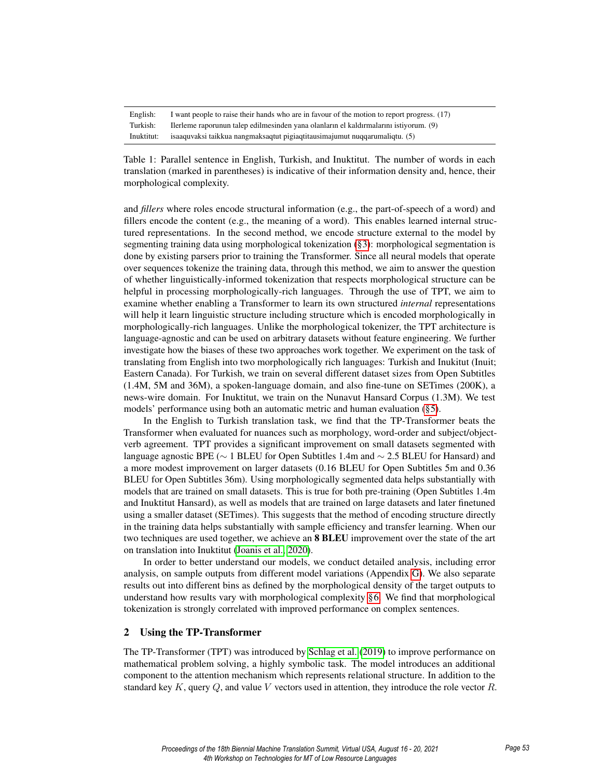| English:   | I want people to raise their hands who are in favour of the motion to report progress. (17) |
|------------|---------------------------------------------------------------------------------------------|
| Turkish:   | Ilerleme raporunun talep edilmesinden yana olanların el kaldırmalarını istiyorum. (9)       |
| Inuktitut: | isaaquvaksi taikkua nangmaksaqtut pigiaqtitausimajumut nuqqarumaliqtu. (5)                  |

Table 1: Parallel sentence in English, Turkish, and Inuktitut. The number of words in each translation (marked in parentheses) is indicative of their information density and, hence, their morphological complexity.

and *fillers* where roles encode structural information (e.g., the part-of-speech of a word) and fillers encode the content  $(e.g., the meaning of a word)$ . This enables learned internal structured representations. In the second method, we encode structure external to the model by segmenting training data using morphological tokenization (§3): morphological segmentation is done by existing parsers prior to training the Transformer. Since all neural models that operate over sequences tokenize the training data, through this method, we aim to answer the question of whether linguistically-informed tokenization that respects morphological structure can be helpful in processing morphologically-rich languages. Through the use of TPT, we aim to examine whether enabling a Transformer to learn its own structured *internal* representations will help it learn linguistic structure including structure which is encoded morphologically in morphologically-rich languages. Unlike the morphological tokenizer, the TPT architecture is language-agnostic and can be used on arbitrary datasets without feature engineering. We further investigate how the biases of these two approaches work together. We experiment on the task of translating from English into two morphologically rich languages: Turkish and Inukitut (Inuit; Eastern Canada). For Turkish, we train on several different dataset sizes from Open Subtitles (1.4M, 5M and 36M), a spoken-language domain, and also fine-tune on SETimes (200K), a news-wire domain. For Inuktitut, we train on the Nunavut Hansard Corpus (1.3M). We test models' performance using both an automatic metric and human evaluation (§5).

In the English to Turkish translation task, we find that the TP-Transformer beats the Transformer when evaluated for nuances such as morphology, word-order and subject/objectverb agreement. TPT provides a significant improvement on small datasets segmented with language agnostic BPE (∼ 1 BLEU for Open Subtitles 1.4m and ∼ 2.5 BLEU for Hansard) and a more modest improvement on larger datasets (0.16 BLEU for Open Subtitles 5m and 0.36 BLEU for Open Subtitles 36m). Using morphologically segmented data helps substantially with models that are trained on small datasets. This is true for both pre-training (Open Subtitles 1.4m and Inuktitut Hansard), as well as models that are trained on large datasets and later finetuned using a smaller dataset (SETimes). This suggests that the method of encoding structure directly in the training data helps substantially with sample efficiency and transfer learning. When our two techniques are used together, we achieve an **8 BLEU** improvement over the state of the art on translation into Inuktitut (Joanis et al., 2020).

In order to better understand our models, we conduct detailed analysis, including error analysis, on sample outputs from different model variations (Appendix G). We also separate results out into different bins as defined by the morphological density of the target outputs to understand how results vary with morphological complexity §6. We find that morphological tokenization is strongly correlated with improved performance on complex sentences.

#### 2 Using the TP-Transformer

The TP-Transformer (TPT) was introduced by Schlag et al. (2019) to improve performance on mathematical problem solving, a highly symbolic task. The model introduces an additional component to the attention mechanism which represents relational structure. In addition to the standard key  $K$ , query  $Q$ , and value  $V$  vectors used in attention, they introduce the role vector  $R$ .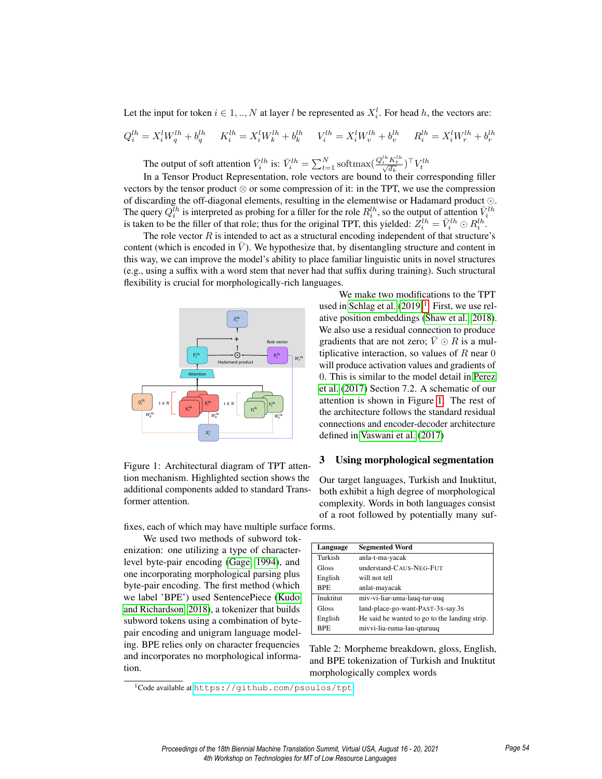Let the input for token  $i \in 1, ..., N$  at layer l be represented as  $X_i^l$ . For head h, the vectors are:

$$
Q_i^{lh} = X_i^l W_q^{lh} + b_q^{lh} \t K_i^{lh} = X_i^l W_k^{lh} + b_k^{lh} \t V_i^{lh} = X_i^l W_v^{lh} + b_v^{lh} \t R_i^{lh} = X_i^l W_r^{lh} + b_r^{lh}
$$

The output of soft attention  $\bar{V}_i^{lh}$  is:  $\bar{V}_i^{lh} = \sum_{t=1}^N \text{softmax}(\frac{Q_i^{lh} K_t^{lh}}{\sqrt{d_k}})^{\top} V_t^{lh}$ 

In a Tensor Product Representation, role vectors are bound to their corresponding filler vectors by the tensor product  $\otimes$  or some compression of it: in the TPT, we use the compression of discarding the off-diagonal elements, resulting in the elementwise or Hadamard product  $\odot$ . The query  $Q_i^{Ih}$  is interpreted as probing for a filler for the role  $R_i^{lh}$ , so the output of attention  $\bar{V}_i^{lh}$  is taken to be the filler of that role; thus for the original TPT, this yielded:  $Z_i^{lh} = \bar{V}_i^{lh} \odot R_i$ 

The role vector  $R$  is intended to act as a structural encoding independent of that structure's content (which is encoded in  $\dot{V}$ ). We hypothesize that, by disentangling structure and content in this way, we can improve the model's ability to place familiar linguistic units in novel structures (e.g., using a suffix with a word stem that never had that suffix during training). Such structural flexibility is crucial for morphologically-rich languages.



Figure 1: Architectural diagram of TPT attention mechanism. Highlighted section shows the additional components added to standard Transformer attention.

fixes, each of which may have multiple surface forms.

We used two methods of subword tokenization: one utilizing a type of characterlevel byte-pair encoding (Gage, 1994), and one incorporating morphological parsing plus byte-pair encoding. The first method (which we label 'BPE') used SentencePiece (Kudo and Richardson, 2018), a tokenizer that builds subword tokens using a combination of bytepair encoding and unigram language modeling. BPE relies only on character frequencies and incorporates no morphological information.

We make two modifications to the TPT used in Schlag et al.  $(2019)^1$ . First, we use relative position embeddings (Shaw et al., 2018). We also use a residual connection to produce gradients that are not zero;  $\bar{V} \odot R$  is a multiplicative interaction, so values of  $R$  near  $0$ will produce activation values and gradients of 0. This is similar to the model detail in Perez et al. (2017) Section 7.2. A schematic of our attention is shown in Figure 1. The rest of the architecture follows the standard residual connections and encoder-decoder architecture defined in Vaswani et al. (2017)

#### 3 Using morphological segmentation

Our target languages, Turkish and Inuktitut, both exhibit a high degree of morphological complexity. Words in both languages consist of a root followed by potentially many suf-

| Language   | <b>Segmented Word</b>                         |
|------------|-----------------------------------------------|
| Turkish    | anla-t-ma-yacak                               |
| Gloss      | understand-CAUS-NEG-FUT                       |
| English    | will not tell                                 |
| <b>BPE</b> | anlat-mayacak                                 |
| Inuktitut  | miv-vi-liar-uma-lauq-tur-uuq                  |
| Gloss      | land-place-go-want-PAST-3S-say.3S             |
| English    | He said he wanted to go to the landing strip. |
| <b>BPE</b> | mivvi-lia-ruma-lau-qturuuq                    |

Table 2: Morpheme breakdown, gloss, English, and BPE tokenization of Turkish and Inuktitut morphologically complex words

<sup>1</sup>Code available at <https://github.com/psoulos/tpt>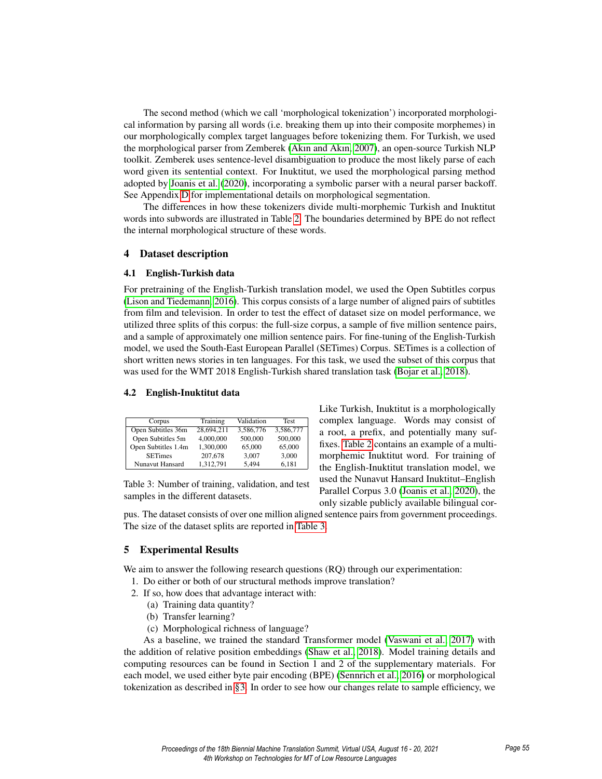The second method (which we call 'morphological tokenization') incorporated morphological information by parsing all words (i.e. breaking them up into their composite morphemes) in our morphologically complex target languages before tokenizing them. For Turkish, we used the morphological parser from Zemberek (Akın and Akın, 2007), an open-source Turkish NLP toolkit. Zemberek uses sentence-level disambiguation to produce the most likely parse of each word given its sentential context. For Inuktitut, we used the morphological parsing method adopted by Joanis et al. (2020), incorporating a symbolic parser with a neural parser backoff. See Appendix D for implementational details on morphological segmentation.

The differences in how these tokenizers divide multi-morphemic Turkish and Inuktitut words into subwords are illustrated in Table 2. The boundaries determined by BPE do not reflect the internal morphological structure of these words.

#### 4 Dataset description

#### 4.1 English-Turkish data

For pretraining of the English-Turkish translation model, we used the Open Subtitles corpus (Lison and Tiedemann, 2016). This corpus consists of a large number of aligned pairs of subtitles from film and television. In order to test the effect of dataset size on model performance, we utilized three splits of this corpus: the full-size corpus, a sample of five million sentence pairs, and a sample of approximately one million sentence pairs. For fine-tuning of the English-Turkish model, we used the South-East European Parallel (SETimes) Corpus. SETimes is a collection of short written news stories in ten languages. For this task, we used the subset of this corpus that was used for the WMT 2018 English-Turkish shared translation task (Bojar et al., 2018).

#### 4.2 English-Inuktitut data

| Corpus              | Training   | Validation | <b>Test</b> |
|---------------------|------------|------------|-------------|
| Open Subtitles 36m  | 28.694.211 | 3.586.776  | 3,586,777   |
| Open Subtitles 5m   | 4,000,000  | 500,000    | 500,000     |
| Open Subtitles 1.4m | 1.300.000  | 65,000     | 65,000      |
| <b>SETimes</b>      | 207,678    | 3.007      | 3,000       |
| Nunavut Hansard     | 1.312.791  | 5.494      | 6.181       |

Table 3: Number of training, validation, and test samples in the different datasets.

Like Turkish, Inuktitut is a morphologically complex language. Words may consist of a root, a prefix, and potentially many suffixes. Table 2 contains an example of a multimorphemic Inuktitut word. For training of the English-Inuktitut translation model, we used the Nunavut Hansard Inuktitut–English Parallel Corpus 3.0 (Joanis et al., 2020), the only sizable publicly available bilingual cor-

pus. The dataset consists of over one million aligned sentence pairs from government proceedings. The size of the dataset splits are reported in Table 3.

#### 5 Experimental Results

We aim to answer the following research questions (RO) through our experimentation:

- 1. Do either or both of our structural methods improve translation?
- 2. If so, how does that advantage interact with:
	- (a) Training data quantity?
	- (b) Transfer learning?
	- (c) Morphological richness of language?

As a baseline, we trained the standard Transformer model (Vaswani et al., 2017) with the addition of relative position embeddings (Shaw et al., 2018). Model training details and computing resources can be found in Section 1 and 2 of the supplementary materials. For each model, we used either byte pair encoding (BPE) (Sennrich et al., 2016) or morphological tokenization as described in §3. In order to see how our changes relate to sample efficiency, we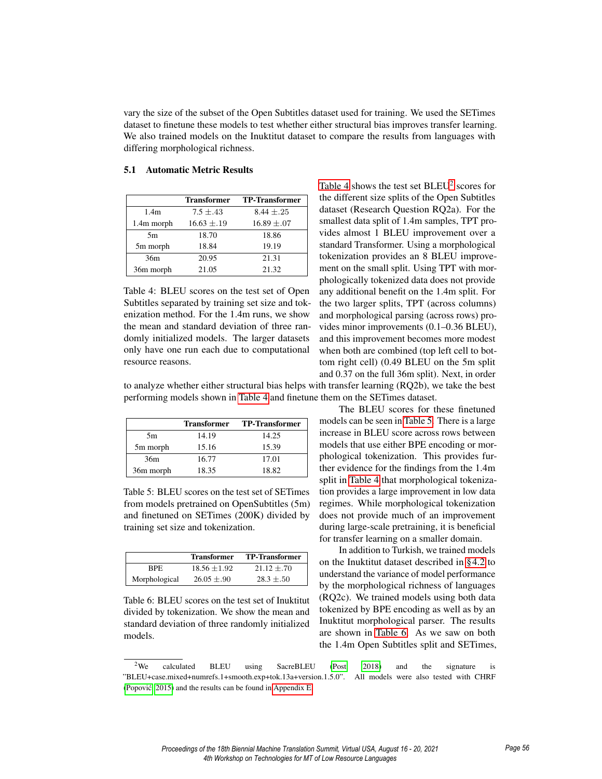vary the size of the subset of the Open Subtitles dataset used for training. We used the SETimes dataset to finetune these models to test whether either structural bias improves transfer learning. We also trained models on the Inuktitut dataset to compare the results from languages with differing morphological richness.

|                  | <b>Transformer</b> | <b>TP-Transformer</b> |
|------------------|--------------------|-----------------------|
| 1.4 <sub>m</sub> | $7.5 + .43$        | $8.44 \pm .25$        |
| 1.4m morph       | $16.63 \pm .19$    | $16.89 \pm .07$       |
| 5m               | 18.70              | 18.86                 |
| 5m morph         | 18.84              | 19.19                 |
| 36m              | 20.95              | 21.31                 |
| 36m morph        | 21.05              | 21.32                 |

#### 5.1 Automatic Metric Results

Table 4: BLEU scores on the test set of Open Subtitles separated by training set size and tokenization method. For the 1.4m runs, we show the mean and standard deviation of three randomly initialized models. The larger datasets only have one run each due to computational resource reasons.

Table 4 shows the test set  $BLEU^2$  scores for the different size splits of the Open Subtitles dataset (Research Question RQ2a). For the smallest data split of 1.4m samples, TPT provides almost 1 BLEU improvement over a standard Transformer. Using a morphological tokenization provides an 8 BLEU improvement on the small split. Using TPT with morphologically tokenized data does not provide any additional benefit on the 1.4m split. For the two larger splits, TPT (across columns) and morphological parsing (across rows) provides minor improvements (0.1–0.36 BLEU), and this improvement becomes more modest when both are combined (top left cell to bottom right cell) (0.49 BLEU on the 5m split and 0.37 on the full 36m split). Next, in order

to analyze whether either structural bias helps with transfer learning (RQ2b), we take the best performing models shown in Table 4 and finetune them on the SETimes dataset.

|           | <b>Transformer</b> | <b>TP-Transformer</b> |
|-----------|--------------------|-----------------------|
| 5m        | 14.19              | 14.25                 |
| 5m morph  | 15.16              | 15.39                 |
| 36m       | 16.77              | 17.01                 |
| 36m morph | 18.35              | 18.82                 |

Table 5: BLEU scores on the test set of SETimes from models pretrained on OpenSubtitles (5m) and finetuned on SETimes (200K) divided by training set size and tokenization.

|               | <b>Transformer</b> | <b>TP-Transformer</b> |
|---------------|--------------------|-----------------------|
| RPE.          | $18.56 + 1.92$     | $21.12 + 70$          |
| Morphological | $26.05 \pm .90$    | $28.3 + 50$           |

Table 6: BLEU scores on the test set of Inuktitut divided by tokenization. We show the mean and standard deviation of three randomly initialized models.

The BLEU scores for these finetuned models can be seen in Table 5. There is a large increase in BLEU score across rows between models that use either BPE encoding or morphological tokenization. This provides further evidence for the findings from the 1.4m split in Table 4 that morphological tokenization provides a large improvement in low data regimes. While morphological tokenization does not provide much of an improvement during large-scale pretraining, it is beneficial for transfer learning on a smaller domain.

In addition to Turkish, we trained models on the Inuktitut dataset described in §4.2 to understand the variance of model performance by the morphological richness of languages (RQ2c). We trained models using both data tokenized by BPE encoding as well as by an Inuktitut morphological parser. The results are shown in Table 6. As we saw on both the 1.4m Open Subtitles split and SETimes,

<sup>&</sup>lt;sup>2</sup>We calculated BLEU using SacreBLEU (Post, 2018) and the signature is "BLEU+case.mixed+numrefs.1+smooth.exp+tok.13a+version.1.5.0". All models were also tested with CHRF (Popovic, 2015) and the results can be found in Appendix E. ´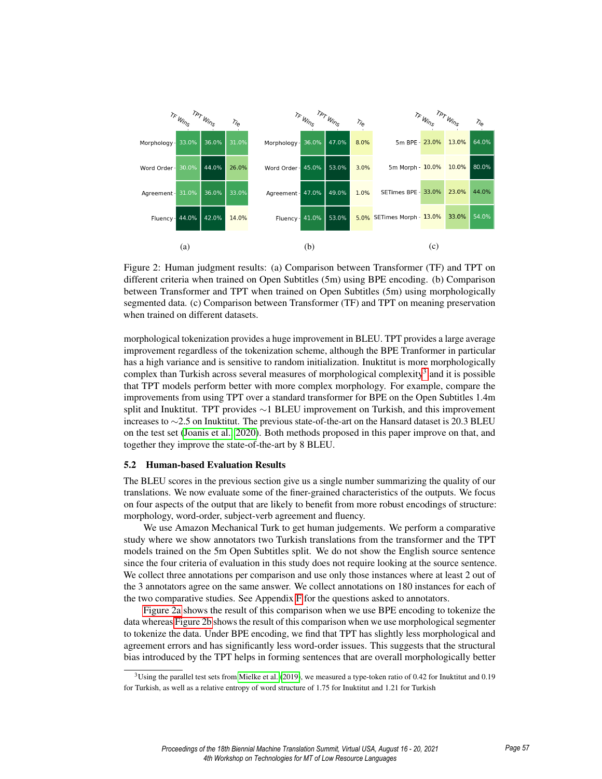

Figure 2: Human judgment results: (a) Comparison between Transformer (TF) and TPT on different criteria when trained on Open Subtitles (5m) using BPE encoding. (b) Comparison between Transformer and TPT when trained on Open Subtitles (5m) using morphologically segmented data. (c) Comparison between Transformer (TF) and TPT on meaning preservation when trained on different datasets.

morphological tokenization provides a huge improvement in BLEU. TPT provides a large average improvement regardless of the tokenization scheme, although the BPE Tranformer in particular has a high variance and is sensitive to random initialization. Inuktitut is more morphologically complex than Turkish across several measures of morphological complexity<sup>3</sup> and it is possible that TPT models perform better with more complex morphology. For example, compare the improvements from using TPT over a standard transformer for BPE on the Open Subtitles 1.4m split and Inuktitut. TPT provides ∼1 BLEU improvement on Turkish, and this improvement increases to ∼2.5 on Inuktitut. The previous state-of-the-art on the Hansard dataset is 20.3 BLEU on the test set (Joanis et al., 2020). Both methods proposed in this paper improve on that, and together they improve the state-of-the-art by 8 BLEU.

#### 5.2 Human-based Evaluation Results

The BLEU scores in the previous section give us a single number summarizing the quality of our translations. We now evaluate some of the finer-grained characteristics of the outputs. We focus on four aspects of the output that are likely to benefit from more robust encodings of structure: morphology, word-order, subject-verb agreement and fluency.

We use Amazon Mechanical Turk to get human judgements. We perform a comparative study where we show annotators two Turkish translations from the transformer and the TPT models trained on the 5m Open Subtitles split. We do not show the English source sentence since the four criteria of evaluation in this study does not require looking at the source sentence. We collect three annotations per comparison and use only those instances where at least 2 out of the 3 annotators agree on the same answer. We collect annotations on 180 instances for each of the two comparative studies. See Appendix F for the questions asked to annotators.

Figure 2a shows the result of this comparison when we use BPE encoding to tokenize the data whereas Figure 2b shows the result of this comparison when we use morphological segmenter to tokenize the data. Under BPE encoding, we find that TPT has slightly less morphological and agreement errors and has significantly less word-order issues. This suggests that the structural bias introduced by the TPT helps in forming sentences that are overall morphologically better

 $3$ Using the parallel test sets from Mielke et al. (2019), we measured a type-token ratio of 0.42 for Inuktitut and 0.19 for Turkish, as well as a relative entropy of word structure of 1.75 for Inuktitut and 1.21 for Turkish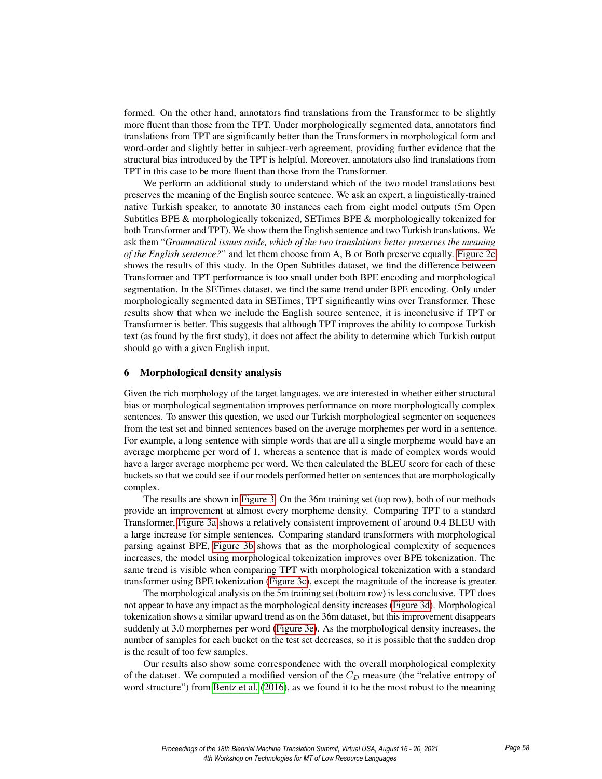formed. On the other hand, annotators find translations from the Transformer to be slightly more fluent than those from the TPT. Under morphologically segmented data, annotators find translations from TPT are significantly better than the Transformers in morphological form and word-order and slightly better in subject-verb agreement, providing further evidence that the structural bias introduced by the TPT is helpful. Moreover, annotators also find translations from TPT in this case to be more fluent than those from the Transformer.

We perform an additional study to understand which of the two model translations best preserves the meaning of the English source sentence. We ask an expert, a linguistically-trained native Turkish speaker, to annotate 30 instances each from eight model outputs (5m Open Subtitles BPE & morphologically tokenized, SETimes BPE & morphologically tokenized for both Transformer and TPT). We show them the English sentence and two Turkish translations. We ask them "*Grammatical issues aside, which of the two translations better preserves the meaning of the English sentence?*" and let them choose from A, B or Both preserve equally. Figure 2c shows the results of this study. In the Open Subtitles dataset, we find the difference between Transformer and TPT performance is too small under both BPE encoding and morphological segmentation. In the SETimes dataset, we find the same trend under BPE encoding. Only under morphologically segmented data in SETimes, TPT significantly wins over Transformer. These results show that when we include the English source sentence, it is inconclusive if TPT or Transformer is better. This suggests that although TPT improves the ability to compose Turkish text (as found by the first study), it does not affect the ability to determine which Turkish output should go with a given English input.

#### 6 Morphological density analysis

Given the rich morphology of the target languages, we are interested in whether either structural bias or morphological segmentation improves performance on more morphologically complex sentences. To answer this question, we used our Turkish morphological segmenter on sequences from the test set and binned sentences based on the average morphemes per word in a sentence. For example, a long sentence with simple words that are all a single morpheme would have an average morpheme per word of 1, whereas a sentence that is made of complex words would have a larger average morpheme per word. We then calculated the BLEU score for each of these buckets so that we could see if our models performed better on sentences that are morphologically complex.

The results are shown in Figure 3. On the 36m training set (top row), both of our methods provide an improvement at almost every morpheme density. Comparing TPT to a standard Transformer, Figure 3a shows a relatively consistent improvement of around 0.4 BLEU with a large increase for simple sentences. Comparing standard transformers with morphological parsing against BPE, Figure 3b shows that as the morphological complexity of sequences increases, the model using morphological tokenization improves over BPE tokenization. The same trend is visible when comparing TPT with morphological tokenization with a standard transformer using BPE tokenization (Figure 3c), except the magnitude of the increase is greater.

The morphological analysis on the 5m training set (bottom row) is less conclusive. TPT does not appear to have any impact as the morphological density increases (Figure 3d). Morphological tokenization shows a similar upward trend as on the 36m dataset, but this improvement disappears suddenly at 3.0 morphemes per word (Figure 3e). As the morphological density increases, the number of samples for each bucket on the test set decreases, so it is possible that the sudden drop is the result of too few samples.

Our results also show some correspondence with the overall morphological complexity of the dataset. We computed a modified version of the  $C<sub>D</sub>$  measure (the "relative entropy of word structure") from Bentz et al. (2016), as we found it to be the most robust to the meaning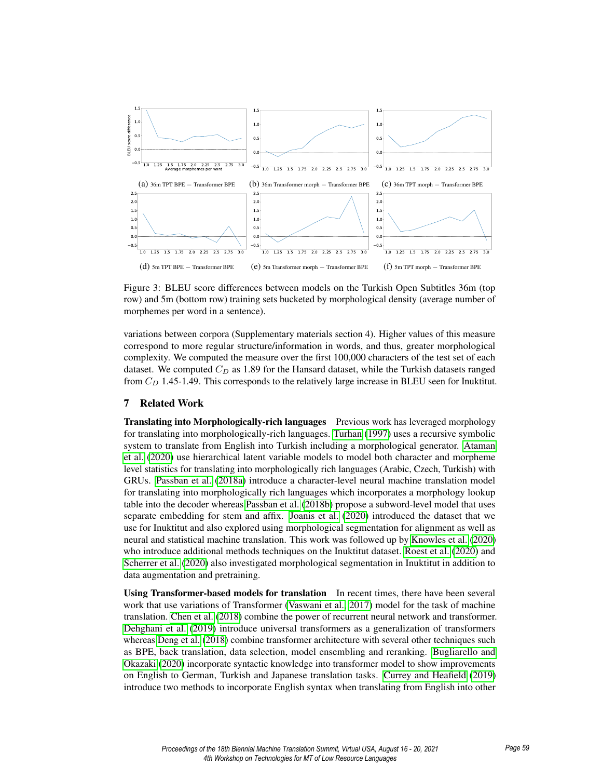

Figure 3: BLEU score differences between models on the Turkish Open Subtitles 36m (top row) and 5m (bottom row) training sets bucketed by morphological density (average number of morphemes per word in a sentence).

variations between corpora (Supplementary materials section 4). Higher values of this measure correspond to more regular structure/information in words, and thus, greater morphological complexity. We computed the measure over the first 100,000 characters of the test set of each dataset. We computed  $C_D$  as 1.89 for the Hansard dataset, while the Turkish datasets ranged from  $C_D$  1.45-1.49. This corresponds to the relatively large increase in BLEU seen for Inuktitut.

#### 7 Related Work

**Translating into Morphologically-rich languages** Previous work has leveraged morphology for translating into morphologically-rich languages. Turhan (1997) uses a recursive symbolic system to translate from English into Turkish including a morphological generator. Ataman et al. (2020) use hierarchical latent variable models to model both character and morpheme level statistics for translating into morphologically rich languages (Arabic, Czech, Turkish) with GRUs. Passban et al. (2018a) introduce a character-level neural machine translation model for translating into morphologically rich languages which incorporates a morphology lookup table into the decoder whereas Passban et al. (2018b) propose a subword-level model that uses separate embedding for stem and affix. Joanis et al. (2020) introduced the dataset that we use for Inuktitut and also explored using morphological segmentation for alignment as well as neural and statistical machine translation. This work was followed up by Knowles et al. (2020) who introduce additional methods techniques on the Inuktitut dataset. Roest et al. (2020) and Scherrer et al. (2020) also investigated morphological segmentation in Inuktitut in addition to data augmentation and pretraining.

Using Transformer-based models for translation In recent times, there have been several work that use variations of Transformer (Vaswani et al., 2017) model for the task of machine translation. Chen et al. (2018) combine the power of recurrent neural network and transformer. Dehghani et al. (2019) introduce universal transformers as a generalization of transformers whereas Deng et al. (2018) combine transformer architecture with several other techniques such as BPE, back translation, data selection, model ensembling and reranking. Bugliarello and Okazaki (2020) incorporate syntactic knowledge into transformer model to show improvements on English to German, Turkish and Japanese translation tasks. Currey and Heafield (2019) introduce two methods to incorporate English syntax when translating from English into other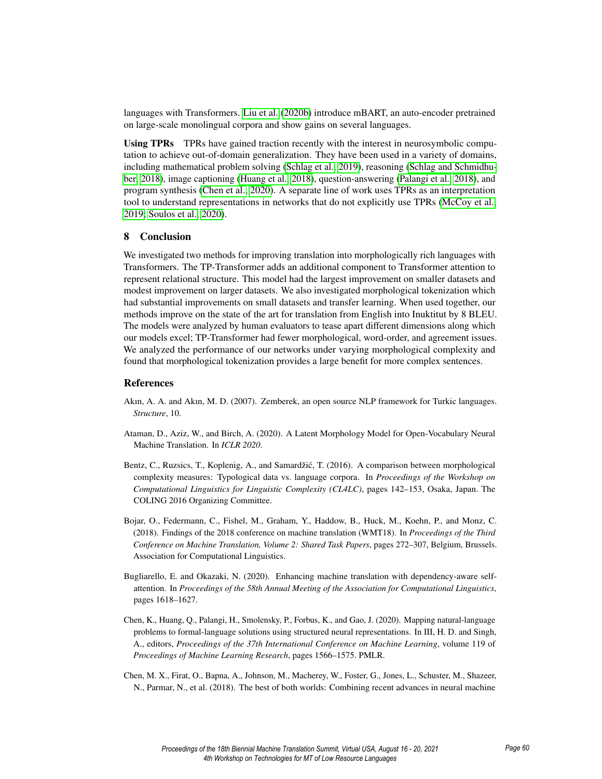languages with Transformers. Liu et al. (2020b) introduce mBART, an auto-encoder pretrained on large-scale monolingual corpora and show gains on several languages.

Using TPRs TPRs have gained traction recently with the interest in neurosymbolic computation to achieve out-of-domain generalization. They have been used in a variety of domains, including mathematical problem solving (Schlag et al., 2019), reasoning (Schlag and Schmidhuber, 2018), image captioning (Huang et al., 2018), question-answering (Palangi et al., 2018), and program synthesis (Chen et al., 2020). A separate line of work uses TPRs as an interpretation tool to understand representations in networks that do not explicitly use TPRs (McCoy et al., 2019; Soulos et al., 2020).

#### 8 Conclusion

We investigated two methods for improving translation into morphologically rich languages with Transformers. The TP-Transformer adds an additional component to Transformer attention to represent relational structure. This model had the largest improvement on smaller datasets and modest improvement on larger datasets. We also investigated morphological tokenization which had substantial improvements on small datasets and transfer learning. When used together, our methods improve on the state of the art for translation from English into Inuktitut by 8 BLEU. The models were analyzed by human evaluators to tease apart different dimensions along which our models excel; TP-Transformer had fewer morphological, word-order, and agreement issues. We analyzed the performance of our networks under varying morphological complexity and found that morphological tokenization provides a large benefit for more complex sentences.

#### References

- Akın, A. A. and Akın, M. D. (2007). Zemberek, an open source NLP framework for Turkic languages. *Structure*, 10.
- Ataman, D., Aziz, W., and Birch, A. (2020). A Latent Morphology Model for Open-Vocabulary Neural Machine Translation. In *ICLR 2020*.
- Bentz, C., Ruzsics, T., Koplenig, A., and Samardžić, T. (2016). A comparison between morphological complexity measures: Typological data vs. language corpora. In *Proceedings of the Workshop on Computational Linguistics for Linguistic Complexity (CL4LC)*, pages 142–153, Osaka, Japan. The COLING 2016 Organizing Committee.
- Bojar, O., Federmann, C., Fishel, M., Graham, Y., Haddow, B., Huck, M., Koehn, P., and Monz, C. (2018). Findings of the 2018 conference on machine translation (WMT18). In *Proceedings of the Third Conference on Machine Translation, Volume 2: Shared Task Papers*, pages 272–307, Belgium, Brussels. Association for Computational Linguistics.
- Bugliarello, E. and Okazaki, N. (2020). Enhancing machine translation with dependency-aware selfattention. In *Proceedings of the 58th Annual Meeting of the Association for Computational Linguistics*, pages 1618–1627.
- Chen, K., Huang, Q., Palangi, H., Smolensky, P., Forbus, K., and Gao, J. (2020). Mapping natural-language problems to formal-language solutions using structured neural representations. In III, H. D. and Singh, A., editors, *Proceedings of the 37th International Conference on Machine Learning*, volume 119 of *Proceedings of Machine Learning Research*, pages 1566–1575. PMLR.
- Chen, M. X., Firat, O., Bapna, A., Johnson, M., Macherey, W., Foster, G., Jones, L., Schuster, M., Shazeer, N., Parmar, N., et al. (2018). The best of both worlds: Combining recent advances in neural machine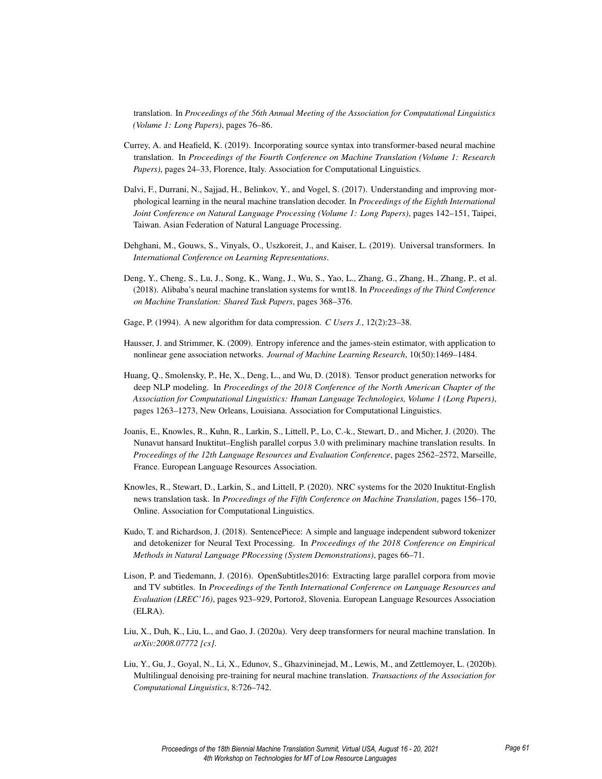translation. In *Proceedings of the 56th Annual Meeting of the Association for Computational Linguistics (Volume 1: Long Papers)*, pages 76–86.

- Currey, A. and Heafield, K. (2019). Incorporating source syntax into transformer-based neural machine translation. In *Proceedings of the Fourth Conference on Machine Translation (Volume 1: Research Papers)*, pages 24–33, Florence, Italy. Association for Computational Linguistics.
- Dalvi, F., Durrani, N., Sajjad, H., Belinkov, Y., and Vogel, S. (2017). Understanding and improving morphological learning in the neural machine translation decoder. In *Proceedings of the Eighth International Joint Conference on Natural Language Processing (Volume 1: Long Papers)*, pages 142–151, Taipei, Taiwan. Asian Federation of Natural Language Processing.
- Dehghani, M., Gouws, S., Vinyals, O., Uszkoreit, J., and Kaiser, L. (2019). Universal transformers. In *International Conference on Learning Representations*.
- Deng, Y., Cheng, S., Lu, J., Song, K., Wang, J., Wu, S., Yao, L., Zhang, G., Zhang, H., Zhang, P., et al. (2018). Alibaba's neural machine translation systems for wmt18. In *Proceedings of the Third Conference on Machine Translation: Shared Task Papers*, pages 368–376.
- Gage, P. (1994). A new algorithm for data compression. *C Users J.*, 12(2):23–38.
- Hausser, J. and Strimmer, K. (2009). Entropy inference and the james-stein estimator, with application to nonlinear gene association networks. *Journal of Machine Learning Research*, 10(50):1469–1484.
- Huang, Q., Smolensky, P., He, X., Deng, L., and Wu, D. (2018). Tensor product generation networks for deep NLP modeling. In *Proceedings of the 2018 Conference of the North American Chapter of the Association for Computational Linguistics: Human Language Technologies, Volume 1 (Long Papers)*, pages 1263–1273, New Orleans, Louisiana. Association for Computational Linguistics.
- Joanis, E., Knowles, R., Kuhn, R., Larkin, S., Littell, P., Lo, C.-k., Stewart, D., and Micher, J. (2020). The Nunavut hansard Inuktitut–English parallel corpus 3.0 with preliminary machine translation results. In *Proceedings of the 12th Language Resources and Evaluation Conference*, pages 2562–2572, Marseille, France. European Language Resources Association.
- Knowles, R., Stewart, D., Larkin, S., and Littell, P. (2020). NRC systems for the 2020 Inuktitut-English news translation task. In *Proceedings of the Fifth Conference on Machine Translation*, pages 156–170, Online. Association for Computational Linguistics.
- Kudo, T. and Richardson, J. (2018). SentencePiece: A simple and language independent subword tokenizer and detokenizer for Neural Text Processing. In *Proceedings of the 2018 Conference on Empirical Methods in Natural Language PRocessing (System Demonstrations)*, pages 66–71.
- Lison, P. and Tiedemann, J. (2016). OpenSubtitles2016: Extracting large parallel corpora from movie and TV subtitles. In *Proceedings of the Tenth International Conference on Language Resources and Evaluation (LREC'16)*, pages 923–929, Portorož, Slovenia. European Language Resources Association (ELRA).
- Liu, X., Duh, K., Liu, L., and Gao, J. (2020a). Very deep transformers for neural machine translation. In *arXiv:2008.07772 [cs]*.
- Liu, Y., Gu, J., Goyal, N., Li, X., Edunov, S., Ghazvininejad, M., Lewis, M., and Zettlemoyer, L. (2020b). Multilingual denoising pre-training for neural machine translation. *Transactions of the Association for Computational Linguistics*, 8:726–742.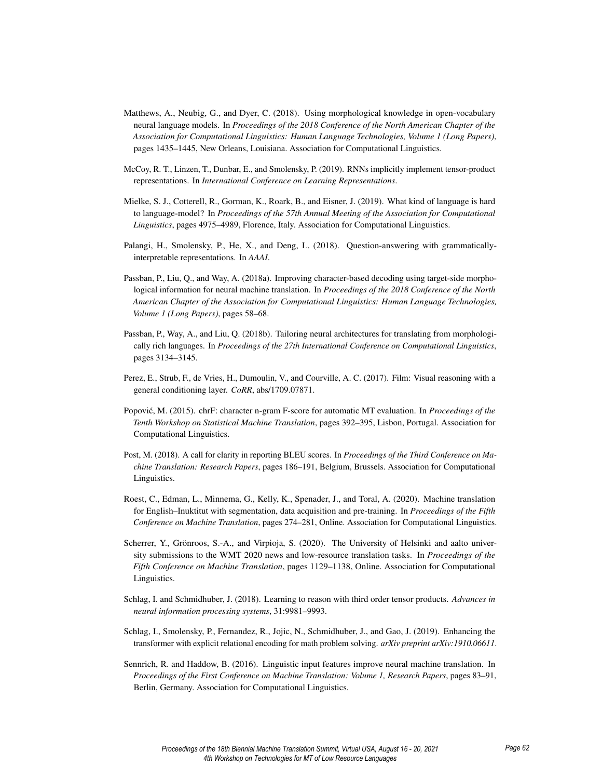- Matthews, A., Neubig, G., and Dyer, C. (2018). Using morphological knowledge in open-vocabulary neural language models. In *Proceedings of the 2018 Conference of the North American Chapter of the Association for Computational Linguistics: Human Language Technologies, Volume 1 (Long Papers)*, pages 1435–1445, New Orleans, Louisiana. Association for Computational Linguistics.
- McCoy, R. T., Linzen, T., Dunbar, E., and Smolensky, P. (2019). RNNs implicitly implement tensor-product representations. In *International Conference on Learning Representations*.
- Mielke, S. J., Cotterell, R., Gorman, K., Roark, B., and Eisner, J. (2019). What kind of language is hard to language-model? In *Proceedings of the 57th Annual Meeting of the Association for Computational Linguistics*, pages 4975–4989, Florence, Italy. Association for Computational Linguistics.
- Palangi, H., Smolensky, P., He, X., and Deng, L. (2018). Question-answering with grammaticallyinterpretable representations. In *AAAI*.
- Passban, P., Liu, Q., and Way, A. (2018a). Improving character-based decoding using target-side morphological information for neural machine translation. In *Proceedings of the 2018 Conference of the North American Chapter of the Association for Computational Linguistics: Human Language Technologies, Volume 1 (Long Papers)*, pages 58–68.
- Passban, P., Way, A., and Liu, Q. (2018b). Tailoring neural architectures for translating from morphologically rich languages. In *Proceedings of the 27th International Conference on Computational Linguistics*, pages 3134–3145.
- Perez, E., Strub, F., de Vries, H., Dumoulin, V., and Courville, A. C. (2017). Film: Visual reasoning with a general conditioning layer. *CoRR*, abs/1709.07871.
- Popović, M. (2015). chrF: character n-gram F-score for automatic MT evaluation. In Proceedings of the *Tenth Workshop on Statistical Machine Translation*, pages 392–395, Lisbon, Portugal. Association for Computational Linguistics.
- Post, M. (2018). A call for clarity in reporting BLEU scores. In *Proceedings of the Third Conference on Machine Translation: Research Papers*, pages 186–191, Belgium, Brussels. Association for Computational Linguistics.
- Roest, C., Edman, L., Minnema, G., Kelly, K., Spenader, J., and Toral, A. (2020). Machine translation for English–Inuktitut with segmentation, data acquisition and pre-training. In *Proceedings of the Fifth Conference on Machine Translation*, pages 274–281, Online. Association for Computational Linguistics.
- Scherrer, Y., Grönroos, S.-A., and Virpioja, S. (2020). The University of Helsinki and aalto university submissions to the WMT 2020 news and low-resource translation tasks. In *Proceedings of the Fifth Conference on Machine Translation*, pages 1129–1138, Online. Association for Computational Linguistics.
- Schlag, I. and Schmidhuber, J. (2018). Learning to reason with third order tensor products. *Advances in neural information processing systems*, 31:9981–9993.
- Schlag, I., Smolensky, P., Fernandez, R., Jojic, N., Schmidhuber, J., and Gao, J. (2019). Enhancing the transformer with explicit relational encoding for math problem solving. *arXiv preprint arXiv:1910.06611*.
- Sennrich, R. and Haddow, B. (2016). Linguistic input features improve neural machine translation. In *Proceedings of the First Conference on Machine Translation: Volume 1, Research Papers*, pages 83–91, Berlin, Germany. Association for Computational Linguistics.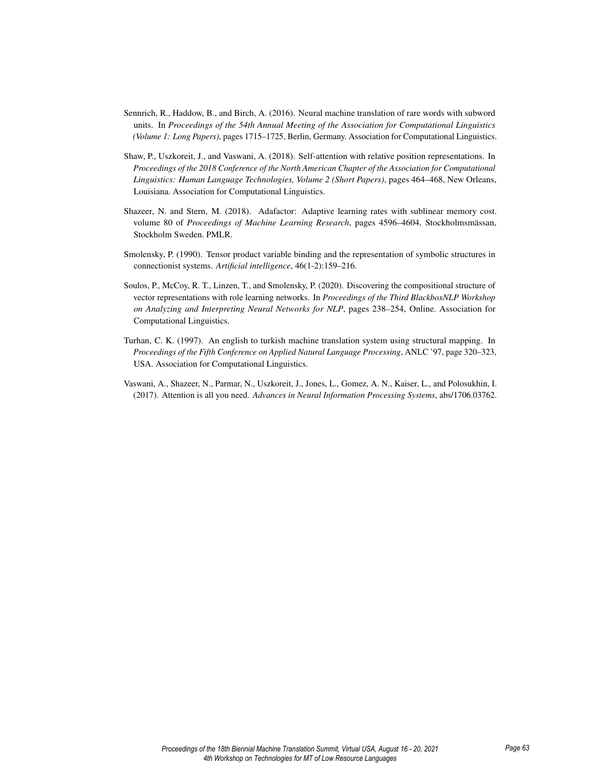- Sennrich, R., Haddow, B., and Birch, A. (2016). Neural machine translation of rare words with subword units. In *Proceedings of the 54th Annual Meeting of the Association for Computational Linguistics (Volume 1: Long Papers)*, pages 1715–1725, Berlin, Germany. Association for Computational Linguistics.
- Shaw, P., Uszkoreit, J., and Vaswani, A. (2018). Self-attention with relative position representations. In *Proceedings of the 2018 Conference of the North American Chapter of the Association for Computational Linguistics: Human Language Technologies, Volume 2 (Short Papers)*, pages 464–468, New Orleans, Louisiana. Association for Computational Linguistics.
- Shazeer, N. and Stern, M. (2018). Adafactor: Adaptive learning rates with sublinear memory cost. volume 80 of *Proceedings of Machine Learning Research*, pages 4596–4604, Stockholmsmässan, Stockholm Sweden. PMLR.
- Smolensky, P. (1990). Tensor product variable binding and the representation of symbolic structures in connectionist systems. *Artificial intelligence*, 46(1-2):159–216.
- Soulos, P., McCoy, R. T., Linzen, T., and Smolensky, P. (2020). Discovering the compositional structure of vector representations with role learning networks. In *Proceedings of the Third BlackboxNLP Workshop on Analyzing and Interpreting Neural Networks for NLP*, pages 238–254, Online. Association for Computational Linguistics.
- Turhan, C. K. (1997). An english to turkish machine translation system using structural mapping. In *Proceedings of the Fifth Conference on Applied Natural Language Processing*, ANLC '97, page 320–323, USA. Association for Computational Linguistics.
- Vaswani, A., Shazeer, N., Parmar, N., Uszkoreit, J., Jones, L., Gomez, A. N., Kaiser, L., and Polosukhin, I. (2017). Attention is all you need. *Advances in Neural Information Processing Systems*, abs/1706.03762.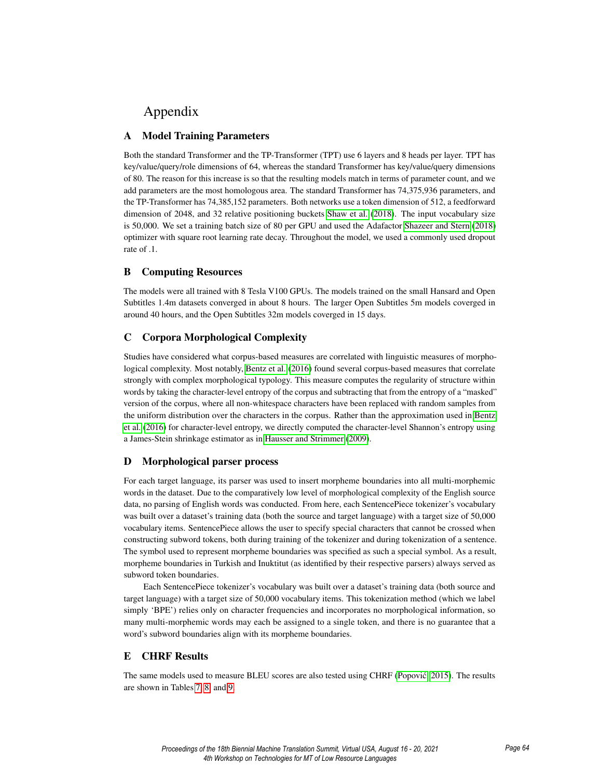# Appendix

# A Model Training Parameters

Both the standard Transformer and the TP-Transformer (TPT) use 6 layers and 8 heads per layer. TPT has key/value/query/role dimensions of 64, whereas the standard Transformer has key/value/query dimensions of 80. The reason for this increase is so that the resulting models match in terms of parameter count, and we add parameters are the most homologous area. The standard Transformer has 74,375,936 parameters, and the TP-Transformer has 74,385,152 parameters. Both networks use a token dimension of 512, a feedforward dimension of 2048, and 32 relative positioning buckets Shaw et al. (2018). The input vocabulary size is 50,000. We set a training batch size of 80 per GPU and used the Adafactor Shazeer and Stern (2018) optimizer with square root learning rate decay. Throughout the model, we used a commonly used dropout rate of .1.

# B Computing Resources

The models were all trained with 8 Tesla V100 GPUs. The models trained on the small Hansard and Open Subtitles 1.4m datasets converged in about 8 hours. The larger Open Subtitles 5m models coverged in around 40 hours, and the Open Subtitles 32m models coverged in 15 days.

# C Corpora Morphological Complexity

Studies have considered what corpus-based measures are correlated with linguistic measures of morphological complexity. Most notably, Bentz et al. (2016) found several corpus-based measures that correlate strongly with complex morphological typology. This measure computes the regularity of structure within words by taking the character-level entropy of the corpus and subtracting that from the entropy of a "masked" version of the corpus, where all non-whitespace characters have been replaced with random samples from the uniform distribution over the characters in the corpus. Rather than the approximation used in Bentz et al. (2016) for character-level entropy, we directly computed the character-level Shannon's entropy using a James-Stein shrinkage estimator as in Hausser and Strimmer (2009).

# D Morphological parser process

For each target language, its parser was used to insert morpheme boundaries into all multi-morphemic words in the dataset. Due to the comparatively low level of morphological complexity of the English source data, no parsing of English words was conducted. From here, each SentencePiece tokenizer's vocabulary was built over a dataset's training data (both the source and target language) with a target size of 50,000 vocabulary items. SentencePiece allows the user to specify special characters that cannot be crossed when constructing subword tokens, both during training of the tokenizer and during tokenization of a sentence. The symbol used to represent morpheme boundaries was specified as such a special symbol. As a result, morpheme boundaries in Turkish and Inuktitut (as identified by their respective parsers) always served as subword token boundaries.

Each SentencePiece tokenizer's vocabulary was built over a dataset's training data (both source and target language) with a target size of 50,000 vocabulary items. This tokenization method (which we label simply 'BPE') relies only on character frequencies and incorporates no morphological information, so many multi-morphemic words may each be assigned to a single token, and there is no guarantee that a word's subword boundaries align with its morpheme boundaries.

# E CHRF Results

The same models used to measure BLEU scores are also tested using CHRF (Popović, 2015). The results are shown in Tables 7, 8, and 9.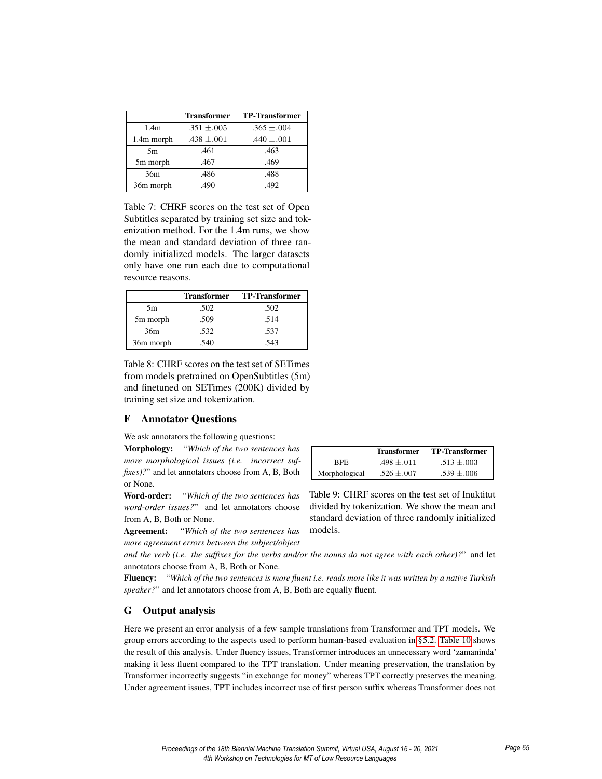|                  | <b>Transformer</b> | <b>TP-Transformer</b> |
|------------------|--------------------|-----------------------|
| 1.4 <sub>m</sub> | $.351 \pm .005$    | $.365 \pm .004$       |
| 1.4m morph       | $.438 \pm .001$    | .440 $\pm .001$       |
| 5m               | .461               | .463                  |
| 5m morph         | .467               | .469                  |
| 36m              | .486               | .488                  |
| 36m morph        | .490               | .492                  |

Table 7: CHRF scores on the test set of Open Subtitles separated by training set size and tokenization method. For the 1.4m runs, we show the mean and standard deviation of three randomly initialized models. The larger datasets only have one run each due to computational resource reasons.

|           | <b>Transformer</b> | TP-Transformer |
|-----------|--------------------|----------------|
| 5m        | .502               | .502           |
| 5m morph  | .509               | .514           |
| 36m       | .532               | .537           |
| 36m morph | .540               | .543           |

Table 8: CHRF scores on the test set of SETimes from models pretrained on OpenSubtitles (5m) and finetuned on SETimes (200K) divided by training set size and tokenization.

## F Annotator Questions

We ask annotators the following questions:

Morphology: "*Which of the two sentences has more morphological issues (i.e. incorrect suffixes*)?" and let annotators choose from A, B, Both or None.

Word-order: "*Which of the two sentences has word-order issues?*" and let annotators choose from A, B, Both or None.

Agreement: "*Which of the two sentences has more agreement errors between the subject/object*

Transformer TP-Transformer BPE  $.498 \pm .011$   $.513 \pm .003$ Morphological  $.526 \pm .007$   $.539 \pm .006$ 

Table 9: CHRF scores on the test set of Inuktitut divided by tokenization. We show the mean and standard deviation of three randomly initialized models.

*and the verb (i.e. the suffixes for the verbs and/or the nouns do not agree with each other)?*" and let annotators choose from A, B, Both or None.

Fluency: "*Which of the two sentences is more fluent i.e. reads more like it was written by a native Turkish speaker?*" and let annotators choose from A, B, Both are equally fluent.

## G Output analysis

Here we present an error analysis of a few sample translations from Transformer and TPT models. We group errors according to the aspects used to perform human-based evaluation in §5.2. Table 10 shows the result of this analysis. Under fluency issues, Transformer introduces an unnecessary word 'zamaninda' making it less fluent compared to the TPT translation. Under meaning preservation, the translation by Transformer incorrectly suggests "in exchange for money" whereas TPT correctly preserves the meaning. Under agreement issues, TPT includes incorrect use of first person suffix whereas Transformer does not

| Proceedings of the 18th Biennial Machine Translation Summit, Virtual USA, August 16 - 20, 2021 |  |
|------------------------------------------------------------------------------------------------|--|
| 4th Workshop on Technologies for MT of Low Resource Languages                                  |  |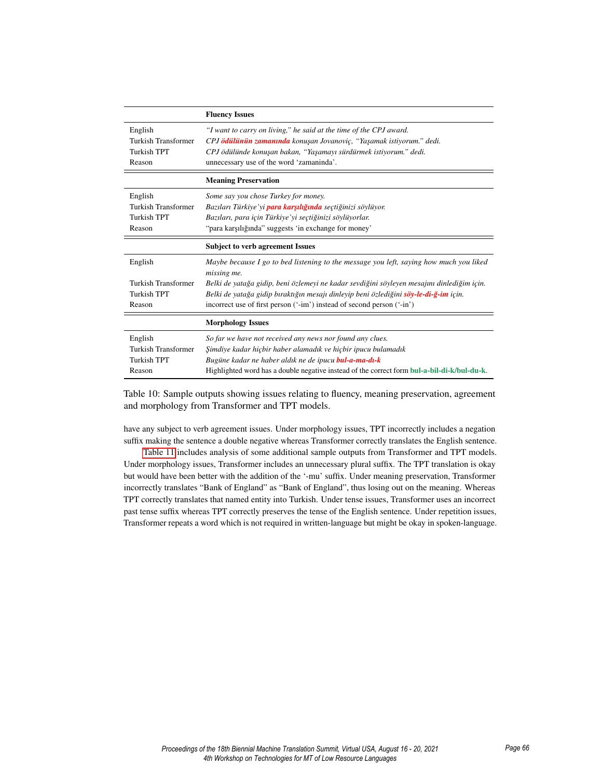|                            | <b>Fluency Issues</b>                                                                                 |
|----------------------------|-------------------------------------------------------------------------------------------------------|
| English                    | "I want to carry on living," he said at the time of the CPJ award.                                    |
| Turkish Transformer        | CPJ ödülünün zamanında konuşan Jovanoviç, "Yaşamak istiyorum." dedi.                                  |
| Turkish TPT                | CPJ ödülünde konuşan bakan, "Yaşamayı sürdürmek istiyorum." dedi.                                     |
| Reason                     | unnecessary use of the word 'zamaninda'.                                                              |
|                            | <b>Meaning Preservation</b>                                                                           |
| English                    | Some say you chose Turkey for money.                                                                  |
| Turkish Transformer        | Bazıları Türkiye'yi <b>para karşılığında</b> seçtiğinizi söylüyor.                                    |
| Turkish TPT                | Bazıları, para için Türkiye'yi seçtiğinizi söylüyorlar.                                               |
| Reason                     | "para karşılığında" suggests 'in exchange for money'                                                  |
|                            |                                                                                                       |
|                            | <b>Subject to verb agreement Issues</b>                                                               |
| English                    | Maybe because I go to bed listening to the message you left, saying how much you liked<br>missing me. |
| <b>Turkish Transformer</b> | Belki de yatağa gidip, beni özlemeyi ne kadar sevdiğini söyleyen mesajını dinlediğim için.            |
| Turkish TPT                | Belki de yatağa gidip bıraktığın mesajı dinleyip beni özlediğini söy-le-di-ğ-im için.                 |
| Reason                     | incorrect use of first person ('-im') instead of second person ('-in')                                |
|                            | <b>Morphology Issues</b>                                                                              |
| English                    | So far we have not received any news nor found any clues.                                             |
| <b>Turkish Transformer</b> | Şimdiye kadar hiçbir haber alamadık ve hiçbir ipucu bulamadık                                         |
| <b>Turkish TPT</b>         | Bugüne kadar ne haber aldık ne de ipucu bul-a-ma-dı-k                                                 |

Table 10: Sample outputs showing issues relating to fluency, meaning preservation, agreement and morphology from Transformer and TPT models.

have any subject to verb agreement issues. Under morphology issues, TPT incorrectly includes a negation suffix making the sentence a double negative whereas Transformer correctly translates the English sentence.

Table 11 includes analysis of some additional sample outputs from Transformer and TPT models. Under morphology issues, Transformer includes an unnecessary plural suffix. The TPT translation is okay but would have been better with the addition of the '-mu' suffix. Under meaning preservation, Transformer incorrectly translates "Bank of England" as "Bank of England", thus losing out on the meaning. Whereas TPT correctly translates that named entity into Turkish. Under tense issues, Transformer uses an incorrect past tense suffix whereas TPT correctly preserves the tense of the English sentence. Under repetition issues, Transformer repeats a word which is not required in written-language but might be okay in spoken-language.